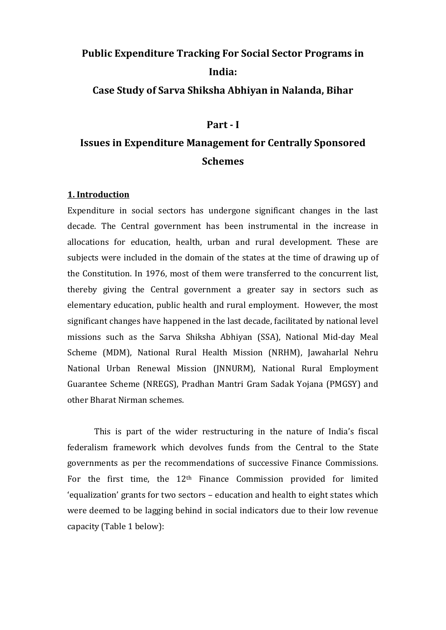# **Public Expenditure Tracking For Social Sector Programs in India:**

**Case Study of Sarva Shiksha Abhiyan in Nalanda, Bihar**

# **Part - I**

# **Issues in Expenditure Management for Centrally Sponsored Schemes**

# **1. Introduction**

Expenditure in social sectors has undergone significant changes in the last decade. The Central government has been instrumental in the increase in allocations for education, health, urban and rural development. These are subjects were included in the domain of the states at the time of drawing up of the Constitution. In 1976, most of them were transferred to the concurrent list, thereby giving the Central government a greater say in sectors such as elementary education, public health and rural employment. However, the most significant changes have happened in the last decade, facilitated by national level missions such as the Sarva Shiksha Abhiyan (SSA), National Mid-day Meal Scheme (MDM), National Rural Health Mission (NRHM), Jawaharlal Nehru National Urban Renewal Mission (JNNURM), National Rural Employment Guarantee Scheme (NREGS), Pradhan Mantri Gram Sadak Yojana (PMGSY) and other Bharat Nirman schemes.

This is part of the wider restructuring in the nature of India's fiscal federalism framework which devolves funds from the Central to the State governments as per the recommendations of successive Finance Commissions. For the first time, the 12<sup>th</sup> Finance Commission provided for limited 'equalization' grants for two sectors – education and health to eight states which were deemed to be lagging behind in social indicators due to their low revenue capacity (Table 1 below):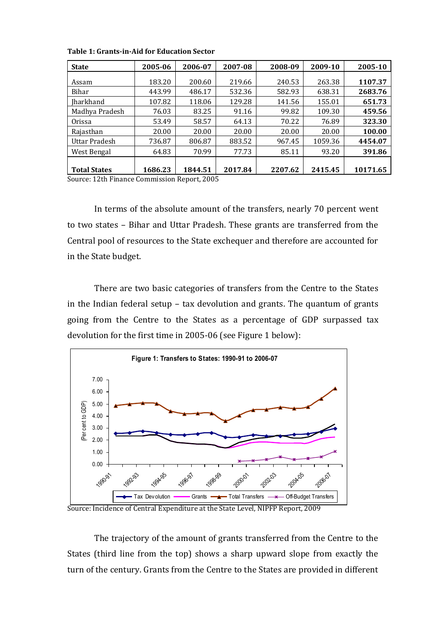| <b>State</b>        | 2005-06 | 2006-07 | 2007-08 | 2008-09 | 2009-10 | 2005-10  |
|---------------------|---------|---------|---------|---------|---------|----------|
| Assam               | 183.20  | 200.60  | 219.66  | 240.53  | 263.38  | 1107.37  |
| Bihar               | 443.99  | 486.17  | 532.36  | 582.93  | 638.31  | 2683.76  |
| <b>Iharkhand</b>    | 107.82  | 118.06  | 129.28  | 141.56  | 155.01  | 651.73   |
| Madhya Pradesh      | 76.03   | 83.25   | 91.16   | 99.82   | 109.30  | 459.56   |
| <b>Orissa</b>       | 53.49   | 58.57   | 64.13   | 70.22   | 76.89   | 323.30   |
| Rajasthan           | 20.00   | 20.00   | 20.00   | 20.00   | 20.00   | 100.00   |
| Uttar Pradesh       | 736.87  | 806.87  | 883.52  | 967.45  | 1059.36 | 4454.07  |
| West Bengal         | 64.83   | 70.99   | 77.73   | 85.11   | 93.20   | 391.86   |
| <b>Total States</b> | 1686.23 | 1844.51 | 2017.84 | 2207.62 | 2415.45 | 10171.65 |

**Table 1: Grants-in-Aid for Education Sector**

Source: 12th Finance Commission Report, 2005

In terms of the absolute amount of the transfers, nearly 70 percent went to two states – Bihar and Uttar Pradesh. These grants are transferred from the Central pool of resources to the State exchequer and therefore are accounted for in the State budget.

There are two basic categories of transfers from the Centre to the States in the Indian federal setup – tax devolution and grants. The quantum of grants going from the Centre to the States as a percentage of GDP surpassed tax devolution for the first time in 2005-06 (see Figure 1 below):



Source: Incidence of Central Expenditure at the State Level, NIPFP Report, 2009

The trajectory of the amount of grants transferred from the Centre to the States (third line from the top) shows a sharp upward slope from exactly the turn of the century. Grants from the Centre to the States are provided in different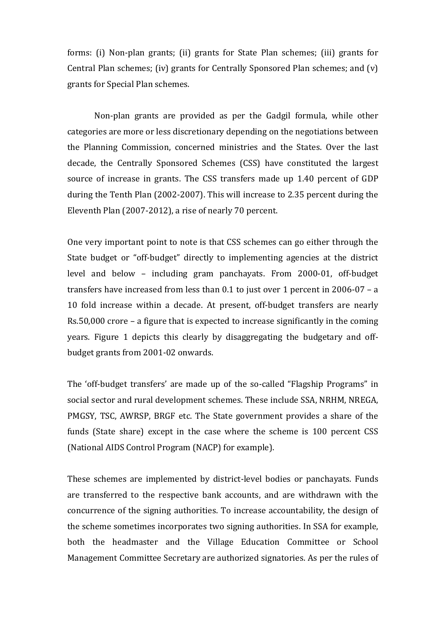forms: (i) Non-plan grants; (ii) grants for State Plan schemes; (iii) grants for Central Plan schemes; (iv) grants for Centrally Sponsored Plan schemes; and (v) grants for Special Plan schemes.

Non-plan grants are provided as per the Gadgil formula, while other categories are more or less discretionary depending on the negotiations between the Planning Commission, concerned ministries and the States. Over the last decade, the Centrally Sponsored Schemes (CSS) have constituted the largest source of increase in grants. The CSS transfers made up 1.40 percent of GDP during the Tenth Plan (2002-2007). This will increase to 2.35 percent during the Eleventh Plan (2007-2012), a rise of nearly 70 percent.

One very important point to note is that CSS schemes can go either through the State budget or "off-budget" directly to implementing agencies at the district level and below – including gram panchayats. From 2000-01, off-budget transfers have increased from less than 0.1 to just over 1 percent in 2006-07 – a 10 fold increase within a decade. At present, off-budget transfers are nearly Rs.50,000 crore – a figure that is expected to increase significantly in the coming years. Figure 1 depicts this clearly by disaggregating the budgetary and offbudget grants from 2001-02 onwards.

The 'off-budget transfers' are made up of the so-called "Flagship Programs" in social sector and rural development schemes. These include SSA, NRHM, NREGA, PMGSY, TSC, AWRSP, BRGF etc. The State government provides a share of the funds (State share) except in the case where the scheme is 100 percent CSS (National AIDS Control Program (NACP) for example).

These schemes are implemented by district-level bodies or panchayats. Funds are transferred to the respective bank accounts, and are withdrawn with the concurrence of the signing authorities. To increase accountability, the design of the scheme sometimes incorporates two signing authorities. In SSA for example, both the headmaster and the Village Education Committee or School Management Committee Secretary are authorized signatories. As per the rules of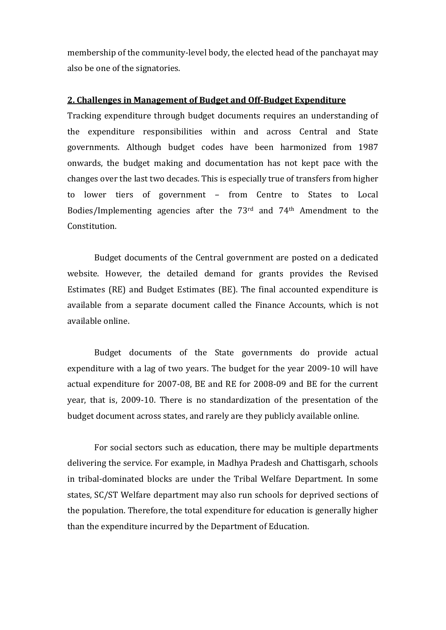membership of the community-level body, the elected head of the panchayat may also be one of the signatories.

#### **2. Challenges in Management of Budget and Off-Budget Expenditure**

Tracking expenditure through budget documents requires an understanding of the expenditure responsibilities within and across Central and State governments. Although budget codes have been harmonized from 1987 onwards, the budget making and documentation has not kept pace with the changes over the last two decades. This is especially true of transfers from higher to lower tiers of government – from Centre to States to Local Bodies/Implementing agencies after the 73rd and 74th Amendment to the Constitution.

Budget documents of the Central government are posted on a dedicated website. However, the detailed demand for grants provides the Revised Estimates (RE) and Budget Estimates (BE). The final accounted expenditure is available from a separate document called the Finance Accounts, which is not available online.

Budget documents of the State governments do provide actual expenditure with a lag of two years. The budget for the year 2009-10 will have actual expenditure for 2007-08, BE and RE for 2008-09 and BE for the current year, that is, 2009-10. There is no standardization of the presentation of the budget document across states, and rarely are they publicly available online.

For social sectors such as education, there may be multiple departments delivering the service. For example, in Madhya Pradesh and Chattisgarh, schools in tribal-dominated blocks are under the Tribal Welfare Department. In some states, SC/ST Welfare department may also run schools for deprived sections of the population. Therefore, the total expenditure for education is generally higher than the expenditure incurred by the Department of Education.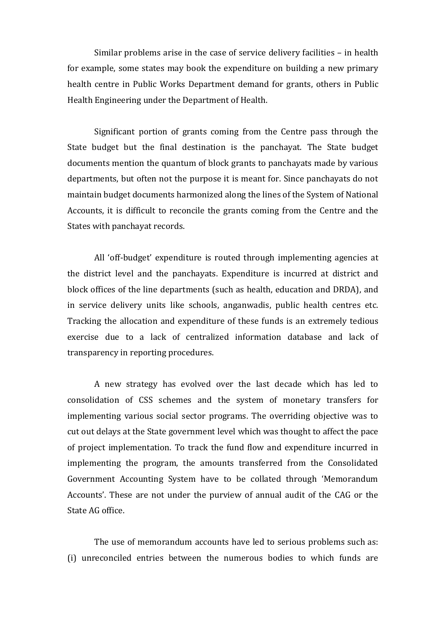Similar problems arise in the case of service delivery facilities – in health for example, some states may book the expenditure on building a new primary health centre in Public Works Department demand for grants, others in Public Health Engineering under the Department of Health.

Significant portion of grants coming from the Centre pass through the State budget but the final destination is the panchayat. The State budget documents mention the quantum of block grants to panchayats made by various departments, but often not the purpose it is meant for. Since panchayats do not maintain budget documents harmonized along the lines of the System of National Accounts, it is difficult to reconcile the grants coming from the Centre and the States with panchayat records.

All 'off-budget' expenditure is routed through implementing agencies at the district level and the panchayats. Expenditure is incurred at district and block offices of the line departments (such as health, education and DRDA), and in service delivery units like schools, anganwadis, public health centres etc. Tracking the allocation and expenditure of these funds is an extremely tedious exercise due to a lack of centralized information database and lack of transparency in reporting procedures.

A new strategy has evolved over the last decade which has led to consolidation of CSS schemes and the system of monetary transfers for implementing various social sector programs. The overriding objective was to cut out delays at the State government level which was thought to affect the pace of project implementation. To track the fund flow and expenditure incurred in implementing the program, the amounts transferred from the Consolidated Government Accounting System have to be collated through 'Memorandum Accounts'. These are not under the purview of annual audit of the CAG or the State AG office.

The use of memorandum accounts have led to serious problems such as: (i) unreconciled entries between the numerous bodies to which funds are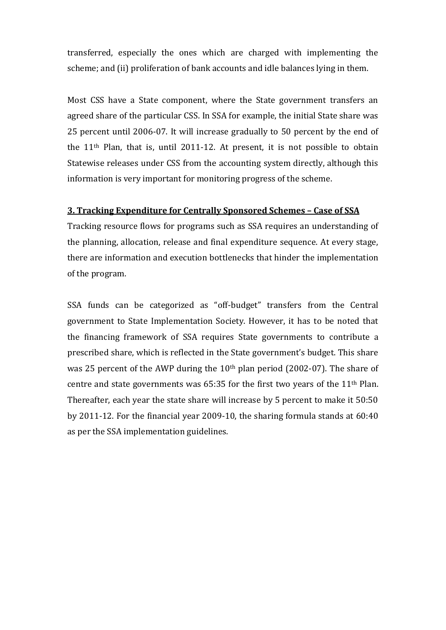transferred, especially the ones which are charged with implementing the scheme; and (ii) proliferation of bank accounts and idle balances lying in them.

Most CSS have a State component, where the State government transfers an agreed share of the particular CSS. In SSA for example, the initial State share was 25 percent until 2006-07. It will increase gradually to 50 percent by the end of the 11th Plan, that is, until 2011-12. At present, it is not possible to obtain Statewise releases under CSS from the accounting system directly, although this information is very important for monitoring progress of the scheme.

### **3. Tracking Expenditure for Centrally Sponsored Schemes – Case of SSA**

Tracking resource flows for programs such as SSA requires an understanding of the planning, allocation, release and final expenditure sequence. At every stage, there are information and execution bottlenecks that hinder the implementation of the program.

SSA funds can be categorized as "off-budget" transfers from the Central government to State Implementation Society. However, it has to be noted that the financing framework of SSA requires State governments to contribute a prescribed share, which is reflected in the State government's budget. This share was 25 percent of the AWP during the  $10<sup>th</sup>$  plan period (2002-07). The share of centre and state governments was  $65:35$  for the first two years of the  $11<sup>th</sup>$  Plan. Thereafter, each year the state share will increase by 5 percent to make it 50:50 by 2011-12. For the financial year 2009-10, the sharing formula stands at 60:40 as per the SSA implementation guidelines.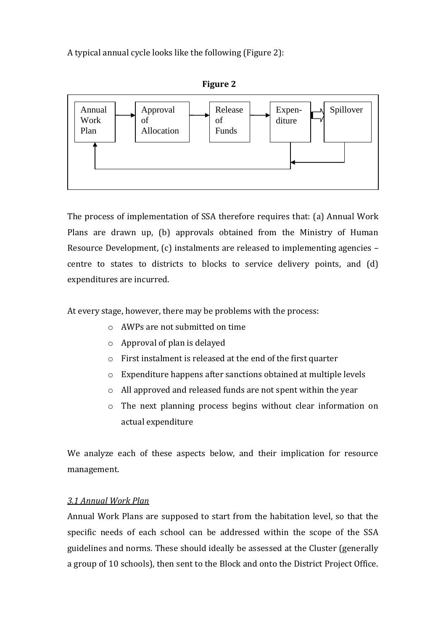A typical annual cycle looks like the following (Figure 2):





The process of implementation of SSA therefore requires that: (a) Annual Work Plans are drawn up, (b) approvals obtained from the Ministry of Human Resource Development, (c) instalments are released to implementing agencies – centre to states to districts to blocks to service delivery points, and (d) expenditures are incurred.

At every stage, however, there may be problems with the process:

- o AWPs are not submitted on time
- o Approval of plan is delayed
- o First instalment is released at the end of the first quarter
- o Expenditure happens after sanctions obtained at multiple levels
- o All approved and released funds are not spent within the year
- o The next planning process begins without clear information on actual expenditure

We analyze each of these aspects below, and their implication for resource management.

# *3.1 Annual Work Plan*

Annual Work Plans are supposed to start from the habitation level, so that the specific needs of each school can be addressed within the scope of the SSA guidelines and norms. These should ideally be assessed at the Cluster (generally a group of 10 schools), then sent to the Block and onto the District Project Office.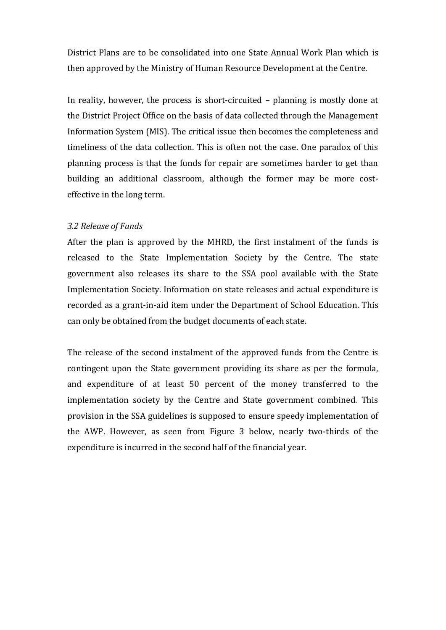District Plans are to be consolidated into one State Annual Work Plan which is then approved by the Ministry of Human Resource Development at the Centre.

In reality, however, the process is short-circuited – planning is mostly done at the District Project Office on the basis of data collected through the Management Information System (MIS). The critical issue then becomes the completeness and timeliness of the data collection. This is often not the case. One paradox of this planning process is that the funds for repair are sometimes harder to get than building an additional classroom, although the former may be more costeffective in the long term.

# *3.2 Release of Funds*

After the plan is approved by the MHRD, the first instalment of the funds is released to the State Implementation Society by the Centre. The state government also releases its share to the SSA pool available with the State Implementation Society. Information on state releases and actual expenditure is recorded as a grant-in-aid item under the Department of School Education. This can only be obtained from the budget documents of each state.

The release of the second instalment of the approved funds from the Centre is contingent upon the State government providing its share as per the formula, and expenditure of at least 50 percent of the money transferred to the implementation society by the Centre and State government combined. This provision in the SSA guidelines is supposed to ensure speedy implementation of the AWP. However, as seen from Figure 3 below, nearly two-thirds of the expenditure is incurred in the second half of the financial year.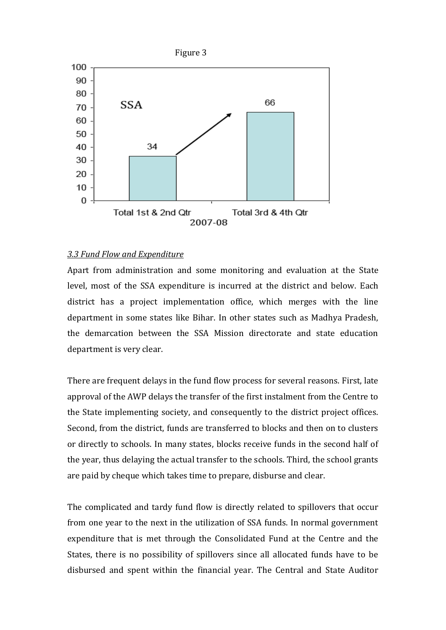

#### *3.3 Fund Flow and Expenditure*

Apart from administration and some monitoring and evaluation at the State level, most of the SSA expenditure is incurred at the district and below. Each district has a project implementation office, which merges with the line department in some states like Bihar. In other states such as Madhya Pradesh, the demarcation between the SSA Mission directorate and state education department is very clear.

There are frequent delays in the fund flow process for several reasons. First, late approval of the AWP delays the transfer of the first instalment from the Centre to the State implementing society, and consequently to the district project offices. Second, from the district, funds are transferred to blocks and then on to clusters or directly to schools. In many states, blocks receive funds in the second half of the year, thus delaying the actual transfer to the schools. Third, the school grants are paid by cheque which takes time to prepare, disburse and clear.

The complicated and tardy fund flow is directly related to spillovers that occur from one year to the next in the utilization of SSA funds. In normal government expenditure that is met through the Consolidated Fund at the Centre and the States, there is no possibility of spillovers since all allocated funds have to be disbursed and spent within the financial year. The Central and State Auditor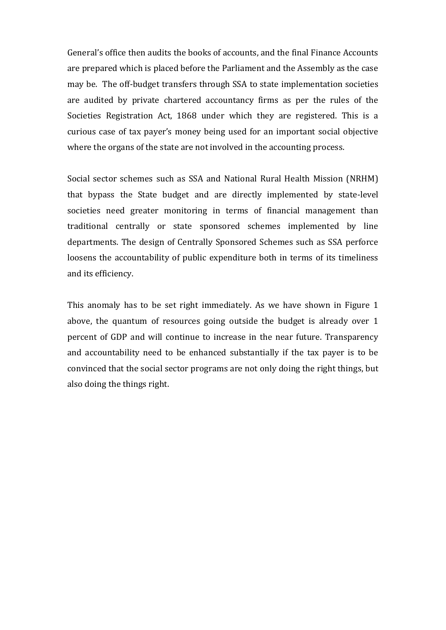General's office then audits the books of accounts, and the final Finance Accounts are prepared which is placed before the Parliament and the Assembly as the case may be. The off-budget transfers through SSA to state implementation societies are audited by private chartered accountancy firms as per the rules of the Societies Registration Act, 1868 under which they are registered. This is a curious case of tax payer's money being used for an important social objective where the organs of the state are not involved in the accounting process.

Social sector schemes such as SSA and National Rural Health Mission (NRHM) that bypass the State budget and are directly implemented by state-level societies need greater monitoring in terms of financial management than traditional centrally or state sponsored schemes implemented by line departments. The design of Centrally Sponsored Schemes such as SSA perforce loosens the accountability of public expenditure both in terms of its timeliness and its efficiency.

This anomaly has to be set right immediately. As we have shown in Figure 1 above, the quantum of resources going outside the budget is already over 1 percent of GDP and will continue to increase in the near future. Transparency and accountability need to be enhanced substantially if the tax payer is to be convinced that the social sector programs are not only doing the right things, but also doing the things right.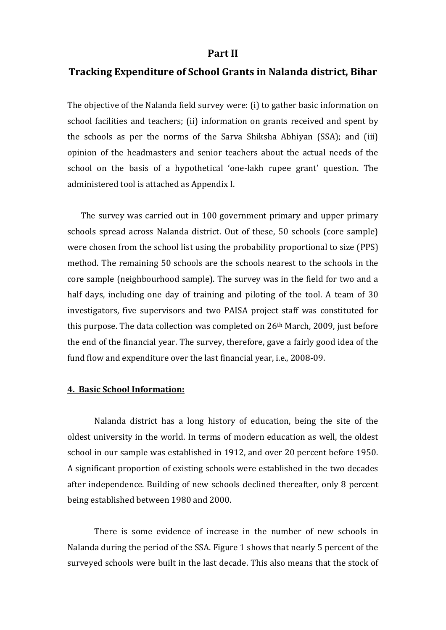# **Part II**

# **Tracking Expenditure of School Grants in Nalanda district, Bihar**

The objective of the Nalanda field survey were: (i) to gather basic information on school facilities and teachers; (ii) information on grants received and spent by the schools as per the norms of the Sarva Shiksha Abhiyan (SSA); and (iii) opinion of the headmasters and senior teachers about the actual needs of the school on the basis of a hypothetical 'one-lakh rupee grant' question. The administered tool is attached as Appendix I.

The survey was carried out in 100 government primary and upper primary schools spread across Nalanda district. Out of these, 50 schools (core sample) were chosen from the school list using the probability proportional to size (PPS) method. The remaining 50 schools are the schools nearest to the schools in the core sample (neighbourhood sample). The survey was in the field for two and a half days, including one day of training and piloting of the tool. A team of 30 investigators, five supervisors and two PAISA project staff was constituted for this purpose. The data collection was completed on 26<sup>th</sup> March, 2009, just before the end of the financial year. The survey, therefore, gave a fairly good idea of the fund flow and expenditure over the last financial year, i.e., 2008-09.

# **4. Basic School Information:**

Nalanda district has a long history of education, being the site of the oldest university in the world. In terms of modern education as well, the oldest school in our sample was established in 1912, and over 20 percent before 1950. A significant proportion of existing schools were established in the two decades after independence. Building of new schools declined thereafter, only 8 percent being established between 1980 and 2000.

There is some evidence of increase in the number of new schools in Nalanda during the period of the SSA. Figure 1 shows that nearly 5 percent of the surveyed schools were built in the last decade. This also means that the stock of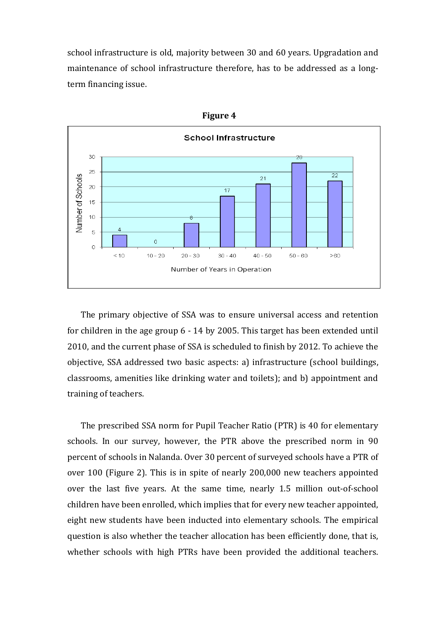school infrastructure is old, majority between 30 and 60 years. Upgradation and maintenance of school infrastructure therefore, has to be addressed as a longterm financing issue.



**Figure 4**

The primary objective of SSA was to ensure universal access and retention for children in the age group 6 - 14 by 2005. This target has been extended until 2010, and the current phase of SSA is scheduled to finish by 2012. To achieve the objective, SSA addressed two basic aspects: a) infrastructure (school buildings, classrooms, amenities like drinking water and toilets); and b) appointment and training of teachers.

The prescribed SSA norm for Pupil Teacher Ratio (PTR) is 40 for elementary schools. In our survey, however, the PTR above the prescribed norm in 90 percent of schools in Nalanda. Over 30 percent of surveyed schools have a PTR of over 100 (Figure 2). This is in spite of nearly 200,000 new teachers appointed over the last five years. At the same time, nearly 1.5 million out-of-school children have been enrolled, which implies that for every new teacher appointed, eight new students have been inducted into elementary schools. The empirical question is also whether the teacher allocation has been efficiently done, that is, whether schools with high PTRs have been provided the additional teachers.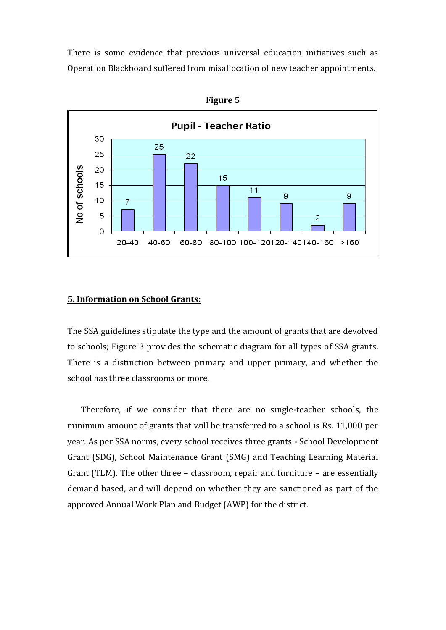There is some evidence that previous universal education initiatives such as Operation Blackboard suffered from misallocation of new teacher appointments.



**Figure 5**

## **5. Information on School Grants:**

The SSA guidelines stipulate the type and the amount of grants that are devolved to schools; Figure 3 provides the schematic diagram for all types of SSA grants. There is a distinction between primary and upper primary, and whether the school has three classrooms or more.

Therefore, if we consider that there are no single-teacher schools, the minimum amount of grants that will be transferred to a school is Rs. 11,000 per year. As per SSA norms, every school receives three grants - School Development Grant (SDG), School Maintenance Grant (SMG) and Teaching Learning Material Grant (TLM). The other three – classroom, repair and furniture – are essentially demand based, and will depend on whether they are sanctioned as part of the approved Annual Work Plan and Budget (AWP) for the district.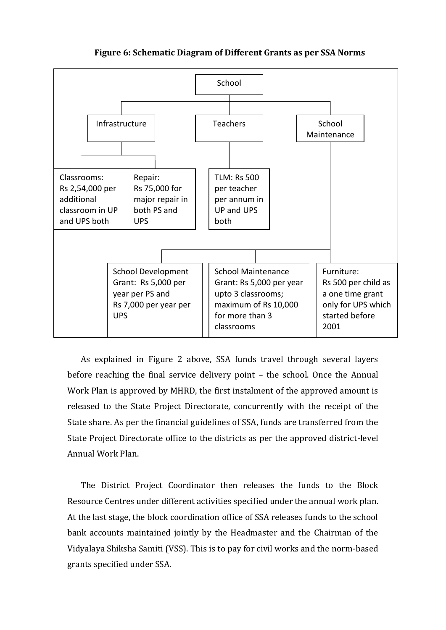

**Figure 6: Schematic Diagram of Different Grants as per SSA Norms**

As explained in Figure 2 above, SSA funds travel through several layers before reaching the final service delivery point – the school. Once the Annual Work Plan is approved by MHRD, the first instalment of the approved amount is released to the State Project Directorate, concurrently with the receipt of the State share. As per the financial guidelines of SSA, funds are transferred from the State Project Directorate office to the districts as per the approved district-level Annual Work Plan.

The District Project Coordinator then releases the funds to the Block Resource Centres under different activities specified under the annual work plan. At the last stage, the block coordination office of SSA releases funds to the school bank accounts maintained jointly by the Headmaster and the Chairman of the Vidyalaya Shiksha Samiti (VSS). This is to pay for civil works and the norm-based grants specified under SSA.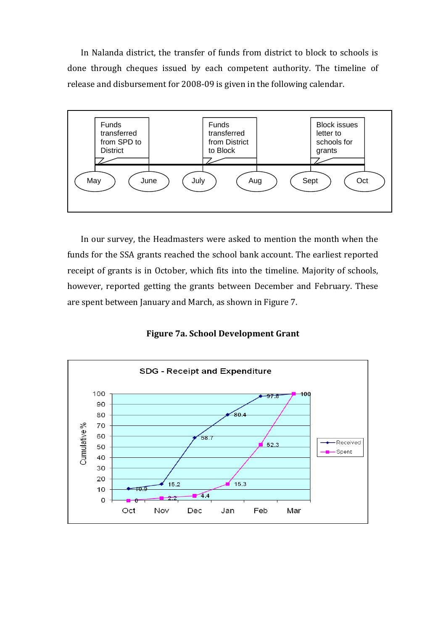In Nalanda district, the transfer of funds from district to block to schools is done through cheques issued by each competent authority. The timeline of release and disbursement for 2008-09 is given in the following calendar.



In our survey, the Headmasters were asked to mention the month when the funds for the SSA grants reached the school bank account. The earliest reported receipt of grants is in October, which fits into the timeline. Majority of schools, however, reported getting the grants between December and February. These are spent between January and March, as shown in Figure 7.

**Figure 7a. School Development Grant**

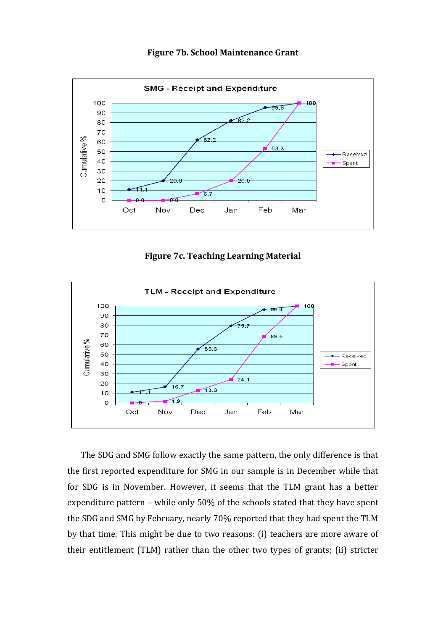



**Figure 7c. Teaching Learning Material** 



The SDG and SMG follow exactly the same pattern, the only difference is that the first reported expenditure for SMG in our sample is in December while that for SDG is in November. However, it seems that the TLM grant has a better expenditure pattern – while only 50% of the schools stated that they have spent the SDG and SMG by February, nearly 70% reported that they had spent the TLM by that time. This might be due to two reasons: (i) teachers are more aware of their entitlement (TLM) rather than the other two types of grants; (ii) stricter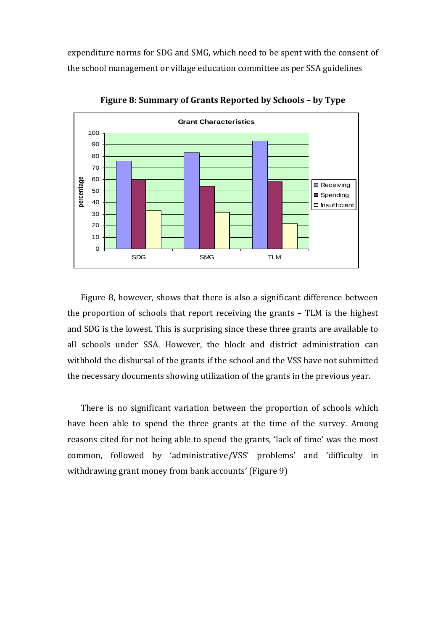expenditure norms for SDG and SMG, which need to be spent with the consent of the school management or village education committee as per SSA guidelines



**Figure 8: Summary of Grants Reported by Schools – by Type** 

Figure 8, however, shows that there is also a significant difference between the proportion of schools that report receiving the grants – TLM is the highest and SDG is the lowest. This is surprising since these three grants are available to all schools under SSA. However, the block and district administration can withhold the disbursal of the grants if the school and the VSS have not submitted the necessary documents showing utilization of the grants in the previous year.

There is no significant variation between the proportion of schools which have been able to spend the three grants at the time of the survey. Among reasons cited for not being able to spend the grants, 'lack of time' was the most common, followed by 'administrative/VSS' problems' and 'difficulty in withdrawing grant money from bank accounts' (Figure 9)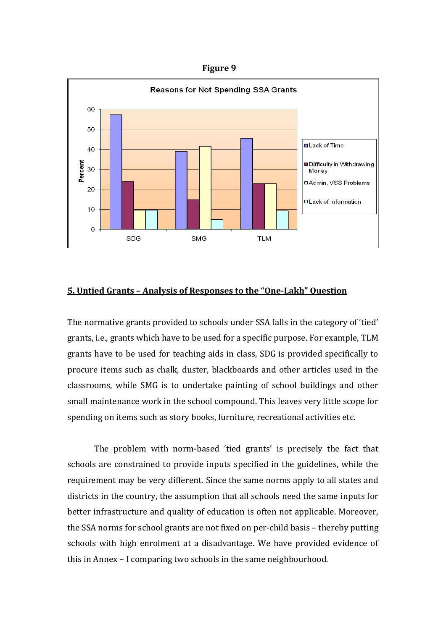**Figure 9**



### **5. Untied Grants – Analysis of Responses to the "One-Lakh" Question**

The normative grants provided to schools under SSA falls in the category of 'tied' grants, i.e., grants which have to be used for a specific purpose. For example, TLM grants have to be used for teaching aids in class, SDG is provided specifically to procure items such as chalk, duster, blackboards and other articles used in the classrooms, while SMG is to undertake painting of school buildings and other small maintenance work in the school compound. This leaves very little scope for spending on items such as story books, furniture, recreational activities etc.

The problem with norm-based 'tied grants' is precisely the fact that schools are constrained to provide inputs specified in the guidelines, while the requirement may be very different. Since the same norms apply to all states and districts in the country, the assumption that all schools need the same inputs for better infrastructure and quality of education is often not applicable. Moreover, the SSA norms for school grants are not fixed on per-child basis – thereby putting schools with high enrolment at a disadvantage. We have provided evidence of this in Annex – I comparing two schools in the same neighbourhood.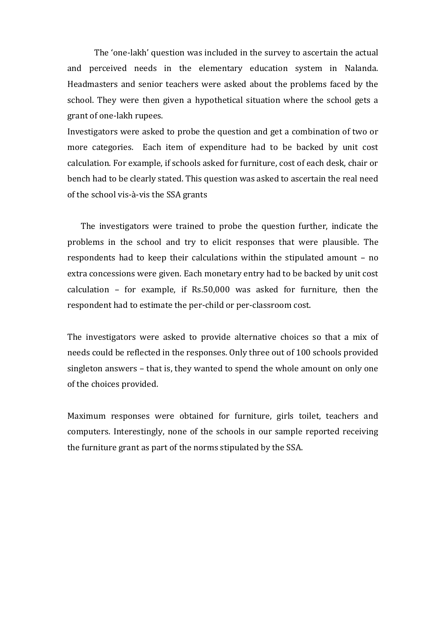The 'one-lakh' question was included in the survey to ascertain the actual and perceived needs in the elementary education system in Nalanda. Headmasters and senior teachers were asked about the problems faced by the school. They were then given a hypothetical situation where the school gets a grant of one-lakh rupees.

Investigators were asked to probe the question and get a combination of two or more categories. Each item of expenditure had to be backed by unit cost calculation. For example, if schools asked for furniture, cost of each desk, chair or bench had to be clearly stated. This question was asked to ascertain the real need of the school vis-à-vis the SSA grants

The investigators were trained to probe the question further, indicate the problems in the school and try to elicit responses that were plausible. The respondents had to keep their calculations within the stipulated amount – no extra concessions were given. Each monetary entry had to be backed by unit cost calculation – for example, if Rs.50,000 was asked for furniture, then the respondent had to estimate the per-child or per-classroom cost.

The investigators were asked to provide alternative choices so that a mix of needs could be reflected in the responses. Only three out of 100 schools provided singleton answers – that is, they wanted to spend the whole amount on only one of the choices provided.

Maximum responses were obtained for furniture, girls toilet, teachers and computers. Interestingly, none of the schools in our sample reported receiving the furniture grant as part of the norms stipulated by the SSA.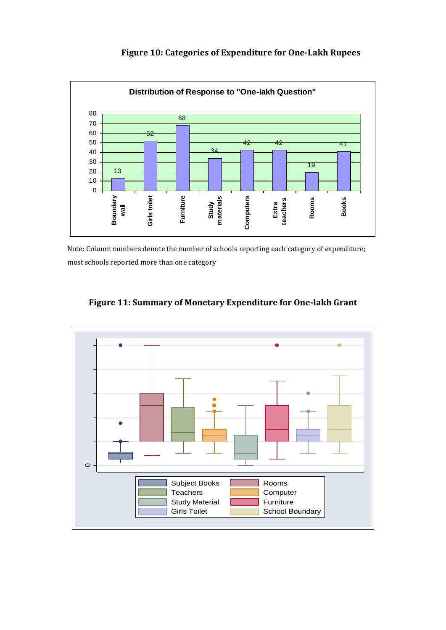

# **Figure 10: Categories of Expenditure for One-Lakh Rupees**

Note: Column numbers denote the number of schools reporting each category of expenditure; most schools reported more than one category



# **Figure 11: Summary of Monetary Expenditure for One-lakh Grant**